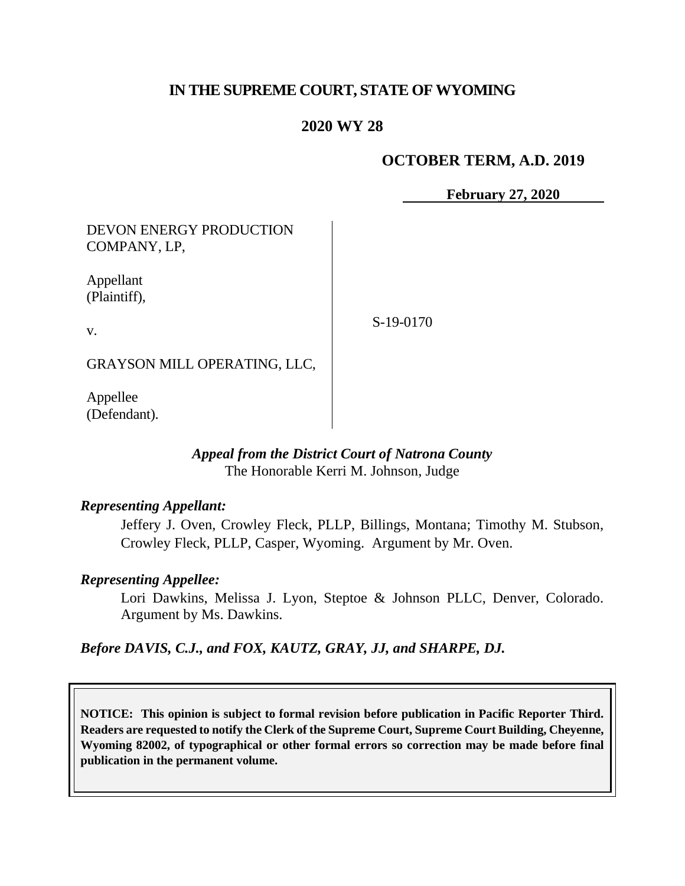# **IN THE SUPREME COURT, STATE OF WYOMING**

# **2020 WY 28**

# **OCTOBER TERM, A.D. 2019**

**February 27, 2020**

DEVON ENERGY PRODUCTION COMPANY, LP,

Appellant (Plaintiff),

v.

S-19-0170

GRAYSON MILL OPERATING, LLC,

Appellee (Defendant).

## *Appeal from the District Court of Natrona County* The Honorable Kerri M. Johnson, Judge

### *Representing Appellant:*

Jeffery J. Oven, Crowley Fleck, PLLP, Billings, Montana; Timothy M. Stubson, Crowley Fleck, PLLP, Casper, Wyoming. Argument by Mr. Oven.

### *Representing Appellee:*

Lori Dawkins, Melissa J. Lyon, Steptoe & Johnson PLLC, Denver, Colorado. Argument by Ms. Dawkins.

*Before DAVIS, C.J., and FOX, KAUTZ, GRAY, JJ, and SHARPE, DJ.*

**NOTICE: This opinion is subject to formal revision before publication in Pacific Reporter Third. Readers are requested to notify the Clerk of the Supreme Court, Supreme Court Building, Cheyenne, Wyoming 82002, of typographical or other formal errors so correction may be made before final publication in the permanent volume.**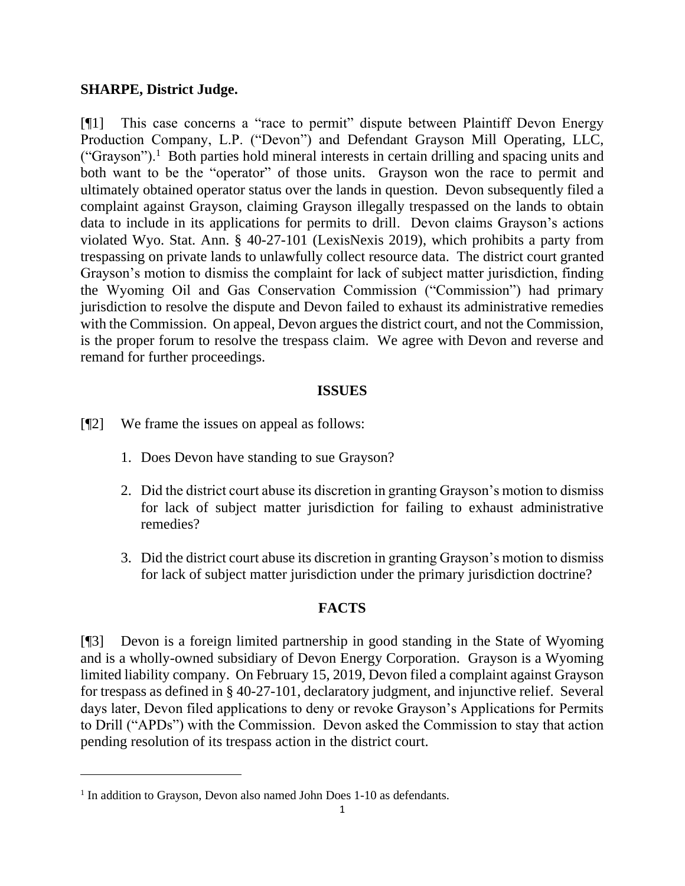### **SHARPE, District Judge.**

[¶1] This case concerns a "race to permit" dispute between Plaintiff Devon Energy Production Company, L.P. ("Devon") and Defendant Grayson Mill Operating, LLC, ("Grayson").<sup>1</sup> Both parties hold mineral interests in certain drilling and spacing units and both want to be the "operator" of those units. Grayson won the race to permit and ultimately obtained operator status over the lands in question. Devon subsequently filed a complaint against Grayson, claiming Grayson illegally trespassed on the lands to obtain data to include in its applications for permits to drill. Devon claims Grayson's actions violated Wyo. Stat. Ann. § 40-27-101 (LexisNexis 2019), which prohibits a party from trespassing on private lands to unlawfully collect resource data. The district court granted Grayson's motion to dismiss the complaint for lack of subject matter jurisdiction, finding the Wyoming Oil and Gas Conservation Commission ("Commission") had primary jurisdiction to resolve the dispute and Devon failed to exhaust its administrative remedies with the Commission. On appeal, Devon argues the district court, and not the Commission, is the proper forum to resolve the trespass claim. We agree with Devon and reverse and remand for further proceedings.

## **ISSUES**

- [¶2] We frame the issues on appeal as follows:
	- 1. Does Devon have standing to sue Grayson?
	- 2. Did the district court abuse its discretion in granting Grayson's motion to dismiss for lack of subject matter jurisdiction for failing to exhaust administrative remedies?
	- 3. Did the district court abuse its discretion in granting Grayson's motion to dismiss for lack of subject matter jurisdiction under the primary jurisdiction doctrine?

# **FACTS**

[¶3] Devon is a foreign limited partnership in good standing in the State of Wyoming and is a wholly-owned subsidiary of Devon Energy Corporation. Grayson is a Wyoming limited liability company. On February 15, 2019, Devon filed a complaint against Grayson for trespass as defined in § 40-27-101, declaratory judgment, and injunctive relief. Several days later, Devon filed applications to deny or revoke Grayson's Applications for Permits to Drill ("APDs") with the Commission. Devon asked the Commission to stay that action pending resolution of its trespass action in the district court.

<sup>&</sup>lt;sup>1</sup> In addition to Grayson, Devon also named John Does 1-10 as defendants.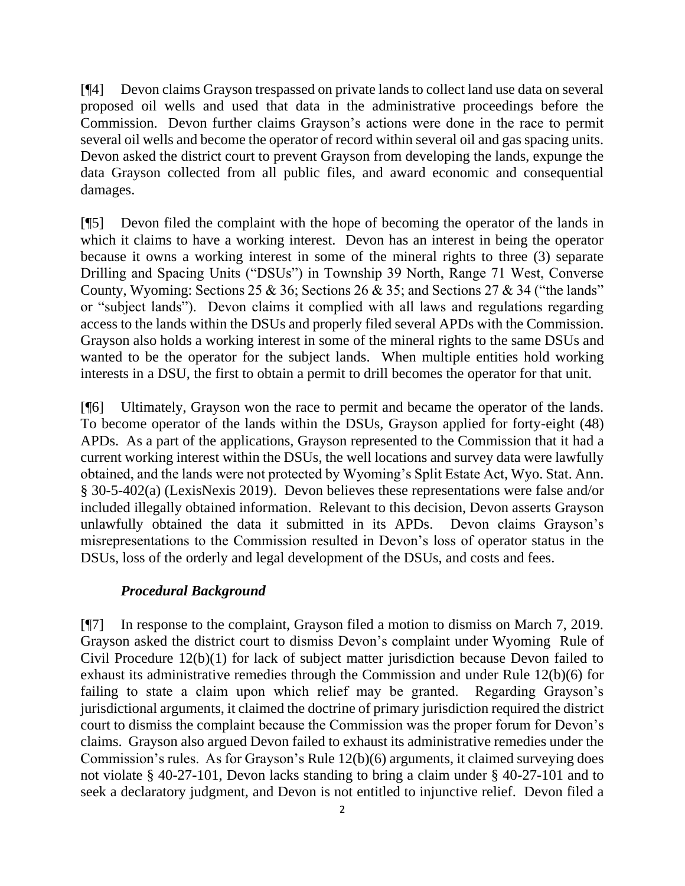[¶4] Devon claims Grayson trespassed on private lands to collect land use data on several proposed oil wells and used that data in the administrative proceedings before the Commission. Devon further claims Grayson's actions were done in the race to permit several oil wells and become the operator of record within several oil and gas spacing units. Devon asked the district court to prevent Grayson from developing the lands, expunge the data Grayson collected from all public files, and award economic and consequential damages.

[¶5] Devon filed the complaint with the hope of becoming the operator of the lands in which it claims to have a working interest. Devon has an interest in being the operator because it owns a working interest in some of the mineral rights to three (3) separate Drilling and Spacing Units ("DSUs") in Township 39 North, Range 71 West, Converse County, Wyoming: Sections 25 & 36; Sections 26 & 35; and Sections 27 & 34 ("the lands" or "subject lands"). Devon claims it complied with all laws and regulations regarding access to the lands within the DSUs and properly filed several APDs with the Commission. Grayson also holds a working interest in some of the mineral rights to the same DSUs and wanted to be the operator for the subject lands. When multiple entities hold working interests in a DSU, the first to obtain a permit to drill becomes the operator for that unit.

[¶6] Ultimately, Grayson won the race to permit and became the operator of the lands. To become operator of the lands within the DSUs, Grayson applied for forty-eight (48) APDs. As a part of the applications, Grayson represented to the Commission that it had a current working interest within the DSUs, the well locations and survey data were lawfully obtained, and the lands were not protected by Wyoming's Split Estate Act, Wyo. Stat. Ann. § 30-5-402(a) (LexisNexis 2019). Devon believes these representations were false and/or included illegally obtained information. Relevant to this decision, Devon asserts Grayson unlawfully obtained the data it submitted in its APDs. Devon claims Grayson's misrepresentations to the Commission resulted in Devon's loss of operator status in the DSUs, loss of the orderly and legal development of the DSUs, and costs and fees.

### *Procedural Background*

[¶7] In response to the complaint, Grayson filed a motion to dismiss on March 7, 2019. Grayson asked the district court to dismiss Devon's complaint under Wyoming Rule of Civil Procedure 12(b)(1) for lack of subject matter jurisdiction because Devon failed to exhaust its administrative remedies through the Commission and under Rule 12(b)(6) for failing to state a claim upon which relief may be granted. Regarding Grayson's jurisdictional arguments, it claimed the doctrine of primary jurisdiction required the district court to dismiss the complaint because the Commission was the proper forum for Devon's claims. Grayson also argued Devon failed to exhaust its administrative remedies under the Commission's rules. As for Grayson's Rule 12(b)(6) arguments, it claimed surveying does not violate § 40-27-101, Devon lacks standing to bring a claim under § 40-27-101 and to seek a declaratory judgment, and Devon is not entitled to injunctive relief. Devon filed a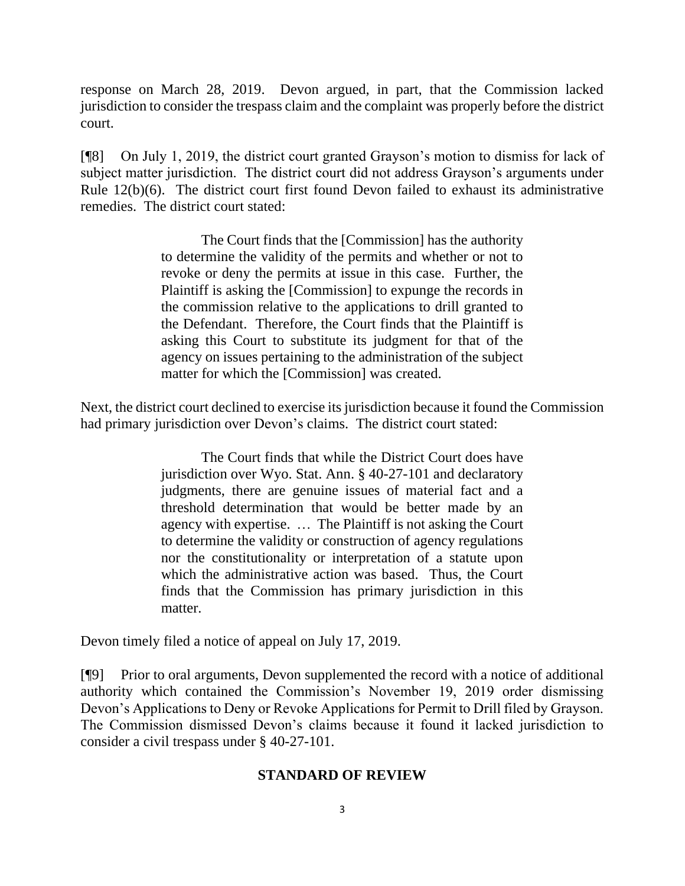response on March 28, 2019. Devon argued, in part, that the Commission lacked jurisdiction to consider the trespass claim and the complaint was properly before the district court.

[¶8] On July 1, 2019, the district court granted Grayson's motion to dismiss for lack of subject matter jurisdiction. The district court did not address Grayson's arguments under Rule 12(b)(6). The district court first found Devon failed to exhaust its administrative remedies. The district court stated:

> The Court finds that the [Commission] has the authority to determine the validity of the permits and whether or not to revoke or deny the permits at issue in this case. Further, the Plaintiff is asking the [Commission] to expunge the records in the commission relative to the applications to drill granted to the Defendant. Therefore, the Court finds that the Plaintiff is asking this Court to substitute its judgment for that of the agency on issues pertaining to the administration of the subject matter for which the [Commission] was created.

Next, the district court declined to exercise its jurisdiction because it found the Commission had primary jurisdiction over Devon's claims. The district court stated:

> The Court finds that while the District Court does have jurisdiction over Wyo. Stat. Ann. § 40-27-101 and declaratory judgments, there are genuine issues of material fact and a threshold determination that would be better made by an agency with expertise. … The Plaintiff is not asking the Court to determine the validity or construction of agency regulations nor the constitutionality or interpretation of a statute upon which the administrative action was based. Thus, the Court finds that the Commission has primary jurisdiction in this matter.

Devon timely filed a notice of appeal on July 17, 2019.

[¶9] Prior to oral arguments, Devon supplemented the record with a notice of additional authority which contained the Commission's November 19, 2019 order dismissing Devon's Applications to Deny or Revoke Applications for Permit to Drill filed by Grayson. The Commission dismissed Devon's claims because it found it lacked jurisdiction to consider a civil trespass under § 40-27-101.

#### **STANDARD OF REVIEW**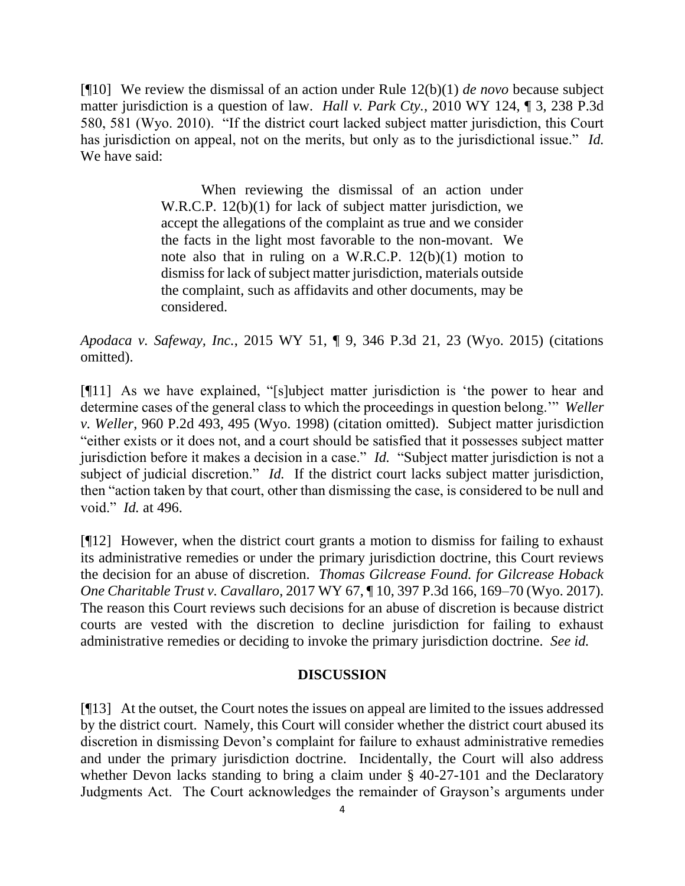[¶10] We review the dismissal of an action under Rule 12(b)(1) *de novo* because subject matter jurisdiction is a question of law. *Hall v. Park Cty.*, 2010 WY 124, ¶ 3, 238 P.3d 580, 581 (Wyo. 2010). "If the district court lacked subject matter jurisdiction, this Court has jurisdiction on appeal, not on the merits, but only as to the jurisdictional issue." *Id.*  We have said:

> When reviewing the dismissal of an action under W.R.C.P. 12(b)(1) for lack of subject matter jurisdiction, we accept the allegations of the complaint as true and we consider the facts in the light most favorable to the non-movant. We note also that in ruling on a W.R.C.P. 12(b)(1) motion to dismiss for lack of subject matter jurisdiction, materials outside the complaint, such as affidavits and other documents, may be considered.

*Apodaca v. Safeway, Inc.*, 2015 WY 51, ¶ 9, 346 P.3d 21, 23 (Wyo. 2015) (citations omitted).

[¶11] As we have explained, "[s]ubject matter jurisdiction is 'the power to hear and determine cases of the general class to which the proceedings in question belong.'" *Weller v. Weller*, 960 P.2d 493, 495 (Wyo. 1998) (citation omitted). Subject matter jurisdiction "either exists or it does not, and a court should be satisfied that it possesses subject matter jurisdiction before it makes a decision in a case." *Id.* "Subject matter jurisdiction is not a subject of judicial discretion." *Id.* If the district court lacks subject matter jurisdiction, then "action taken by that court, other than dismissing the case, is considered to be null and void." *Id.* at 496.

[¶12] However, when the district court grants a motion to dismiss for failing to exhaust its administrative remedies or under the primary jurisdiction doctrine, this Court reviews the decision for an abuse of discretion. *Thomas Gilcrease Found. for Gilcrease Hoback One Charitable Trust v. Cavallaro*, 2017 WY 67, ¶ 10, 397 P.3d 166, 169–70 (Wyo. 2017). The reason this Court reviews such decisions for an abuse of discretion is because district courts are vested with the discretion to decline jurisdiction for failing to exhaust administrative remedies or deciding to invoke the primary jurisdiction doctrine. *See id.*

#### **DISCUSSION**

[¶13] At the outset, the Court notes the issues on appeal are limited to the issues addressed by the district court. Namely, this Court will consider whether the district court abused its discretion in dismissing Devon's complaint for failure to exhaust administrative remedies and under the primary jurisdiction doctrine. Incidentally, the Court will also address whether Devon lacks standing to bring a claim under § 40-27-101 and the Declaratory Judgments Act. The Court acknowledges the remainder of Grayson's arguments under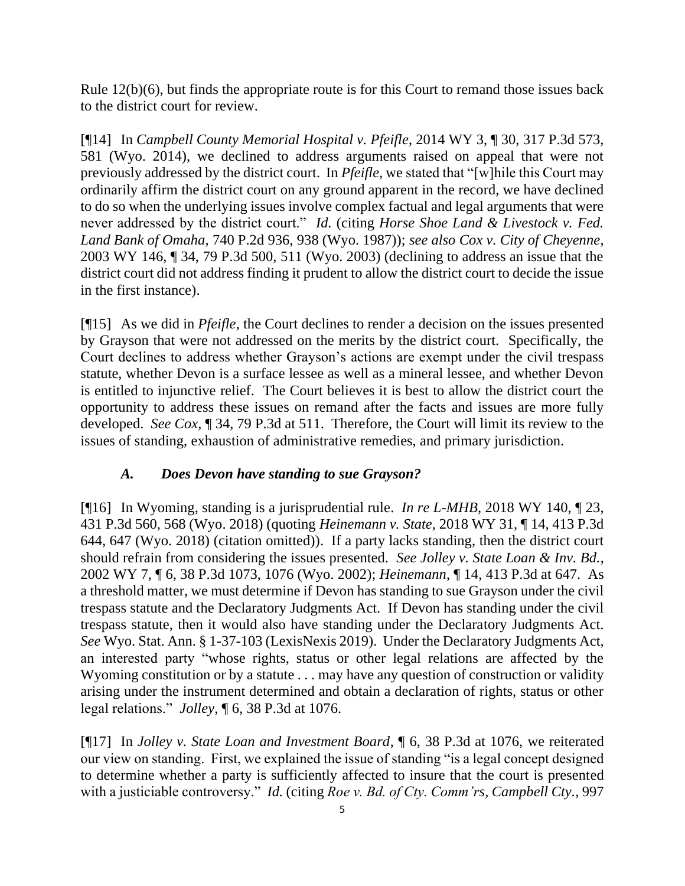Rule 12(b)(6), but finds the appropriate route is for this Court to remand those issues back to the district court for review.

[¶14] In *Campbell County Memorial Hospital v. Pfeifle*, 2014 WY 3, ¶ 30, 317 P.3d 573, 581 (Wyo. 2014), we declined to address arguments raised on appeal that were not previously addressed by the district court. In *Pfeifle*, we stated that "[w]hile this Court may ordinarily affirm the district court on any ground apparent in the record, we have declined to do so when the underlying issues involve complex factual and legal arguments that were never addressed by the district court." *Id.* (citing *Horse Shoe Land & Livestock v. Fed. Land Bank of Omaha*, 740 P.2d 936, 938 (Wyo. 1987)); *see also Cox v. City of Cheyenne*, 2003 WY 146, ¶ 34, 79 P.3d 500, 511 (Wyo. 2003) (declining to address an issue that the district court did not address finding it prudent to allow the district court to decide the issue in the first instance).

[¶15] As we did in *Pfeifle*, the Court declines to render a decision on the issues presented by Grayson that were not addressed on the merits by the district court. Specifically, the Court declines to address whether Grayson's actions are exempt under the civil trespass statute, whether Devon is a surface lessee as well as a mineral lessee, and whether Devon is entitled to injunctive relief. The Court believes it is best to allow the district court the opportunity to address these issues on remand after the facts and issues are more fully developed. *See Cox*, ¶ 34, 79 P.3d at 511. Therefore, the Court will limit its review to the issues of standing, exhaustion of administrative remedies, and primary jurisdiction.

# *A. Does Devon have standing to sue Grayson?*

[¶16] In Wyoming, standing is a jurisprudential rule. *In re L-MHB*, 2018 WY 140, ¶ 23, 431 P.3d 560, 568 (Wyo. 2018) (quoting *Heinemann v. State*, 2018 WY 31, ¶ 14, 413 P.3d 644, 647 (Wyo. 2018) (citation omitted)). If a party lacks standing, then the district court should refrain from considering the issues presented. *See Jolley v. State Loan & Inv. Bd.*, 2002 WY 7, ¶ 6, 38 P.3d 1073, 1076 (Wyo. 2002); *Heinemann*, ¶ 14, 413 P.3d at 647. As a threshold matter, we must determine if Devon has standing to sue Grayson under the civil trespass statute and the Declaratory Judgments Act. If Devon has standing under the civil trespass statute, then it would also have standing under the Declaratory Judgments Act. *See* Wyo. Stat. Ann. § 1-37-103 (LexisNexis 2019). Under the Declaratory Judgments Act, an interested party "whose rights, status or other legal relations are affected by the Wyoming constitution or by a statute . . . may have any question of construction or validity arising under the instrument determined and obtain a declaration of rights, status or other legal relations." *Jolley*, ¶ 6, 38 P.3d at 1076.

[¶17] In *Jolley v. State Loan and Investment Board*, ¶ 6, 38 P.3d at 1076, we reiterated our view on standing. First, we explained the issue of standing "is a legal concept designed to determine whether a party is sufficiently affected to insure that the court is presented with a justiciable controversy." *Id.* (citing *Roe v. Bd. of Cty. Comm'rs, Campbell Cty.*, 997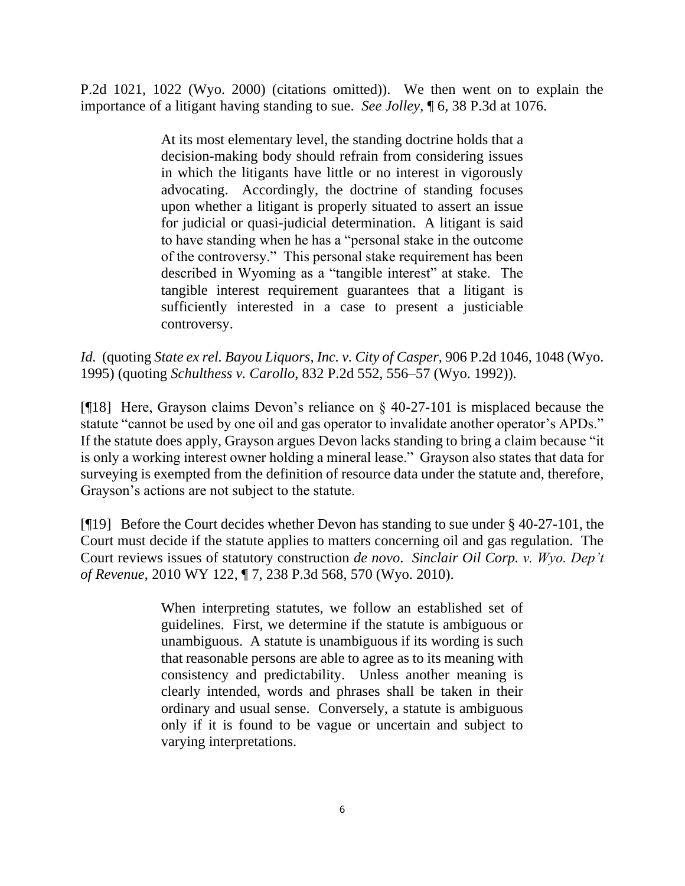P.2d 1021, 1022 (Wyo. 2000) (citations omitted)). We then went on to explain the importance of a litigant having standing to sue. *See Jolley*, ¶ 6, 38 P.3d at 1076.

> At its most elementary level, the standing doctrine holds that a decision-making body should refrain from considering issues in which the litigants have little or no interest in vigorously advocating. Accordingly, the doctrine of standing focuses upon whether a litigant is properly situated to assert an issue for judicial or quasi-judicial determination. A litigant is said to have standing when he has a "personal stake in the outcome of the controversy." This personal stake requirement has been described in Wyoming as a "tangible interest" at stake. The tangible interest requirement guarantees that a litigant is sufficiently interested in a case to present a justiciable controversy.

*Id.* (quoting *State ex rel. Bayou Liquors, Inc. v. City of Casper*, 906 P.2d 1046, 1048 (Wyo. 1995) (quoting *Schulthess v. Carollo*, 832 P.2d 552, 556–57 (Wyo. 1992)).

[¶18] Here, Grayson claims Devon's reliance on § 40-27-101 is misplaced because the statute "cannot be used by one oil and gas operator to invalidate another operator's APDs." If the statute does apply, Grayson argues Devon lacks standing to bring a claim because "it is only a working interest owner holding a mineral lease." Grayson also states that data for surveying is exempted from the definition of resource data under the statute and, therefore, Grayson's actions are not subject to the statute.

[¶19] Before the Court decides whether Devon has standing to sue under § 40-27-101, the Court must decide if the statute applies to matters concerning oil and gas regulation. The Court reviews issues of statutory construction *de novo*. *Sinclair Oil Corp. v. Wyo. Dep't of Revenue*, 2010 WY 122, ¶ 7, 238 P.3d 568, 570 (Wyo. 2010).

> When interpreting statutes, we follow an established set of guidelines. First, we determine if the statute is ambiguous or unambiguous. A statute is unambiguous if its wording is such that reasonable persons are able to agree as to its meaning with consistency and predictability. Unless another meaning is clearly intended, words and phrases shall be taken in their ordinary and usual sense. Conversely, a statute is ambiguous only if it is found to be vague or uncertain and subject to varying interpretations.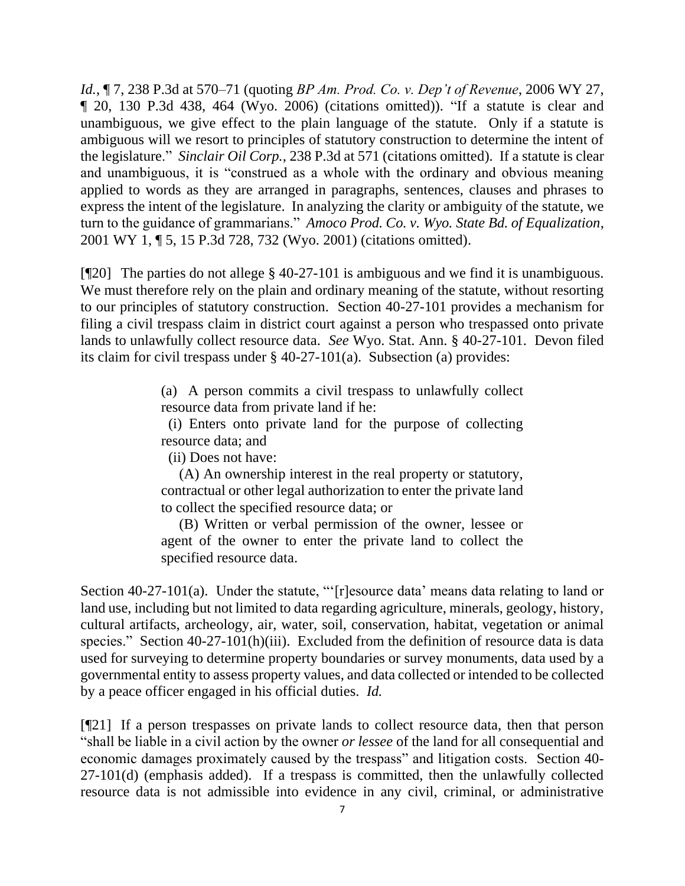*Id.*, ¶ 7, 238 P.3d at 570–71 (quoting *BP Am. Prod. Co. v. Dep't of Revenue*, 2006 WY 27, ¶ 20, 130 P.3d 438, 464 (Wyo. 2006) (citations omitted)). "If a statute is clear and unambiguous, we give effect to the plain language of the statute. Only if a statute is ambiguous will we resort to principles of statutory construction to determine the intent of the legislature." *Sinclair Oil Corp.*, 238 P.3d at 571 (citations omitted).If a statute is clear and unambiguous, it is "construed as a whole with the ordinary and obvious meaning applied to words as they are arranged in paragraphs, sentences, clauses and phrases to express the intent of the legislature. In analyzing the clarity or ambiguity of the statute, we turn to the guidance of grammarians." *Amoco Prod. Co. v. Wyo. State Bd. of Equalization*, 2001 WY 1, ¶ 5, 15 P.3d 728, 732 (Wyo. 2001) (citations omitted).

[¶20] The parties do not allege § 40-27-101 is ambiguous and we find it is unambiguous. We must therefore rely on the plain and ordinary meaning of the statute, without resorting to our principles of statutory construction. Section 40-27-101 provides a mechanism for filing a civil trespass claim in district court against a person who trespassed onto private lands to unlawfully collect resource data. *See* Wyo. Stat. Ann. § 40-27-101. Devon filed its claim for civil trespass under § 40-27-101(a). Subsection (a) provides:

> (a) A person commits a civil trespass to unlawfully collect resource data from private land if he:

> (i) Enters onto private land for the purpose of collecting resource data; and

(ii) Does not have:

 (A) An ownership interest in the real property or statutory, contractual or other legal authorization to enter the private land to collect the specified resource data; or

 (B) Written or verbal permission of the owner, lessee or agent of the owner to enter the private land to collect the specified resource data.

Section 40-27-101(a). Under the statute, "'[r]esource data' means data relating to land or land use, including but not limited to data regarding agriculture, minerals, geology, history, cultural artifacts, archeology, air, water, soil, conservation, habitat, vegetation or animal species." Section 40-27-101(h)(iii). Excluded from the definition of resource data is data used for surveying to determine property boundaries or survey monuments, data used by a governmental entity to assess property values, and data collected or intended to be collected by a peace officer engaged in his official duties. *Id.*

[¶21] If a person trespasses on private lands to collect resource data, then that person "shall be liable in a civil action by the owner *or lessee* of the land for all consequential and economic damages proximately caused by the trespass" and litigation costs. Section 40- 27-101(d) (emphasis added). If a trespass is committed, then the unlawfully collected resource data is not admissible into evidence in any civil, criminal, or administrative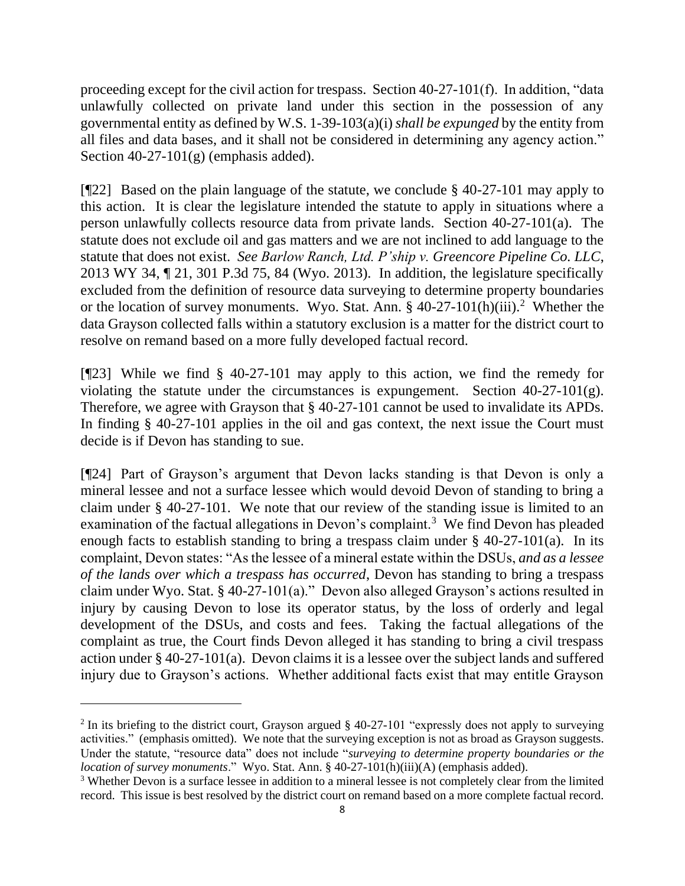proceeding except for the civil action for trespass. Section 40-27-101(f). In addition, "data unlawfully collected on private land under this section in the possession of any governmental entity as defined by W.S. 1-39-103(a)(i) *shall be expunged* by the entity from all files and data bases, and it shall not be considered in determining any agency action." Section 40-27-101(g) (emphasis added).

[¶22] Based on the plain language of the statute, we conclude § 40-27-101 may apply to this action. It is clear the legislature intended the statute to apply in situations where a person unlawfully collects resource data from private lands. Section 40-27-101(a). The statute does not exclude oil and gas matters and we are not inclined to add language to the statute that does not exist. *See Barlow Ranch, Ltd. P'ship v. Greencore Pipeline Co. LLC*, 2013 WY 34, ¶ 21, 301 P.3d 75, 84 (Wyo. 2013). In addition, the legislature specifically excluded from the definition of resource data surveying to determine property boundaries or the location of survey monuments. Wyo. Stat. Ann.  $\S$  40-27-101(h)(iii).<sup>2</sup> Whether the data Grayson collected falls within a statutory exclusion is a matter for the district court to resolve on remand based on a more fully developed factual record.

[¶23] While we find § 40-27-101 may apply to this action, we find the remedy for violating the statute under the circumstances is expungement. Section 40-27-101(g). Therefore, we agree with Grayson that § 40-27-101 cannot be used to invalidate its APDs. In finding § 40-27-101 applies in the oil and gas context, the next issue the Court must decide is if Devon has standing to sue.

[¶24] Part of Grayson's argument that Devon lacks standing is that Devon is only a mineral lessee and not a surface lessee which would devoid Devon of standing to bring a claim under § 40-27-101. We note that our review of the standing issue is limited to an examination of the factual allegations in Devon's complaint.<sup>3</sup> We find Devon has pleaded enough facts to establish standing to bring a trespass claim under § 40-27-101(a). In its complaint, Devon states: "As the lessee of a mineral estate within the DSUs, *and as a lessee of the lands over which a trespass has occurred*, Devon has standing to bring a trespass claim under Wyo. Stat. § 40-27-101(a)." Devon also alleged Grayson's actions resulted in injury by causing Devon to lose its operator status, by the loss of orderly and legal development of the DSUs, and costs and fees. Taking the factual allegations of the complaint as true, the Court finds Devon alleged it has standing to bring a civil trespass action under § 40-27-101(a). Devon claims it is a lessee over the subject lands and suffered injury due to Grayson's actions. Whether additional facts exist that may entitle Grayson

<sup>&</sup>lt;sup>2</sup> In its briefing to the district court, Grayson argued  $\S$  40-27-101 "expressly does not apply to surveying activities." (emphasis omitted). We note that the surveying exception is not as broad as Grayson suggests. Under the statute, "resource data" does not include "*surveying to determine property boundaries or the location of survey monuments*." Wyo. Stat. Ann. § 40-27-101(h)(iii)(A) (emphasis added).

<sup>&</sup>lt;sup>3</sup> Whether Devon is a surface lessee in addition to a mineral lessee is not completely clear from the limited record. This issue is best resolved by the district court on remand based on a more complete factual record.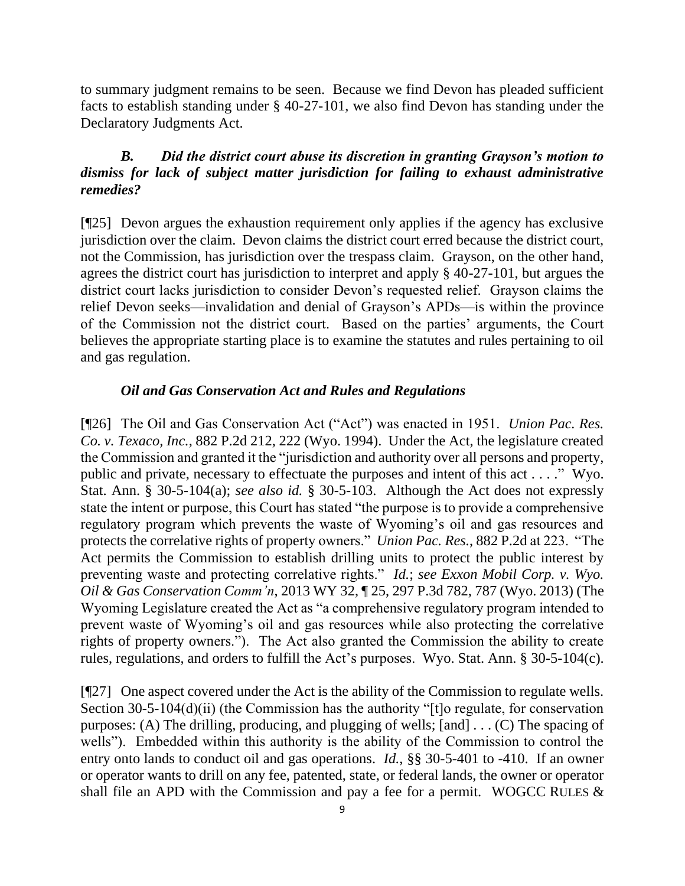to summary judgment remains to be seen. Because we find Devon has pleaded sufficient facts to establish standing under § 40-27-101, we also find Devon has standing under the Declaratory Judgments Act.

# *B. Did the district court abuse its discretion in granting Grayson's motion to dismiss for lack of subject matter jurisdiction for failing to exhaust administrative remedies?*

[¶25] Devon argues the exhaustion requirement only applies if the agency has exclusive jurisdiction over the claim. Devon claims the district court erred because the district court, not the Commission, has jurisdiction over the trespass claim. Grayson, on the other hand, agrees the district court has jurisdiction to interpret and apply § 40-27-101, but argues the district court lacks jurisdiction to consider Devon's requested relief. Grayson claims the relief Devon seeks—invalidation and denial of Grayson's APDs—is within the province of the Commission not the district court. Based on the parties' arguments, the Court believes the appropriate starting place is to examine the statutes and rules pertaining to oil and gas regulation.

## *Oil and Gas Conservation Act and Rules and Regulations*

[¶26] The Oil and Gas Conservation Act ("Act") was enacted in 1951. *Union Pac. Res. Co. v. Texaco, Inc.*, 882 P.2d 212, 222 (Wyo. 1994). Under the Act, the legislature created the Commission and granted it the "jurisdiction and authority over all persons and property, public and private, necessary to effectuate the purposes and intent of this act . . . ." Wyo. Stat. Ann. § 30-5-104(a); *see also id.* § 30-5-103. Although the Act does not expressly state the intent or purpose, this Court has stated "the purpose is to provide a comprehensive regulatory program which prevents the waste of Wyoming's oil and gas resources and protects the correlative rights of property owners." *Union Pac. Res.*, 882 P.2d at 223. "The Act permits the Commission to establish drilling units to protect the public interest by preventing waste and protecting correlative rights." *Id.*; *see Exxon Mobil Corp. v. Wyo. Oil & Gas Conservation Comm'n*, 2013 WY 32, ¶ 25, 297 P.3d 782, 787 (Wyo. 2013) (The Wyoming Legislature created the Act as "a comprehensive regulatory program intended to prevent waste of Wyoming's oil and gas resources while also protecting the correlative rights of property owners."). The Act also granted the Commission the ability to create rules, regulations, and orders to fulfill the Act's purposes. Wyo. Stat. Ann. § 30-5-104(c).

[¶27] One aspect covered under the Act is the ability of the Commission to regulate wells. Section 30-5-104(d)(ii) (the Commission has the authority "[t]o regulate, for conservation purposes: (A) The drilling, producing, and plugging of wells; [and] . . . (C) The spacing of wells"). Embedded within this authority is the ability of the Commission to control the entry onto lands to conduct oil and gas operations. *Id.*, §§ 30-5-401 to -410. If an owner or operator wants to drill on any fee, patented, state, or federal lands, the owner or operator shall file an APD with the Commission and pay a fee for a permit. WOGCC RULES &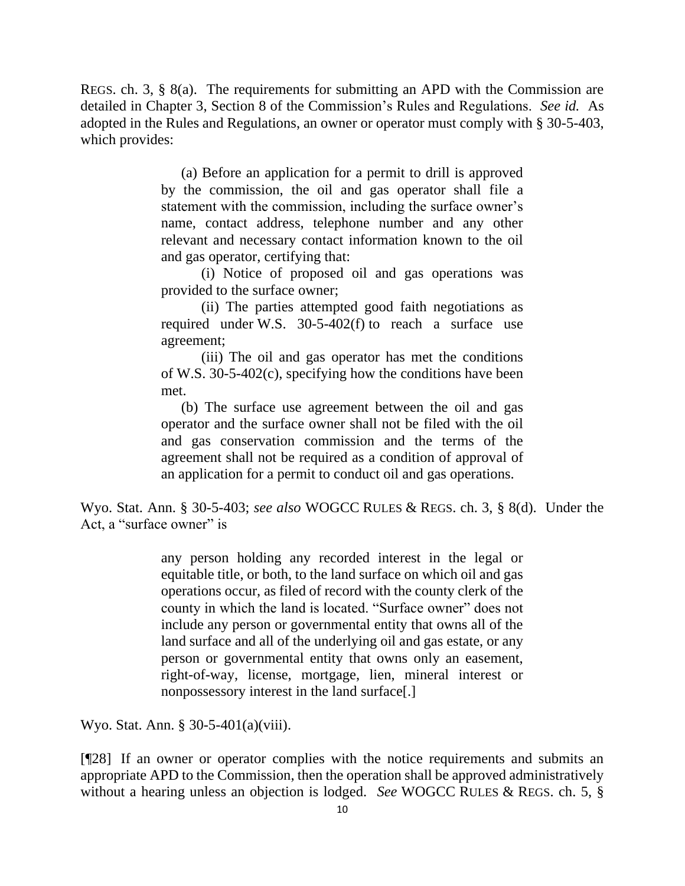REGS. ch. 3, § 8(a). The requirements for submitting an APD with the Commission are detailed in Chapter 3, Section 8 of the Commission's Rules and Regulations. *See id.* As adopted in the Rules and Regulations, an owner or operator must comply with § 30-5-403, which provides:

> (a) Before an application for a permit to drill is approved by the commission, the oil and gas operator shall file a statement with the commission, including the surface owner's name, contact address, telephone number and any other relevant and necessary contact information known to the oil and gas operator, certifying that:

> (i) Notice of proposed oil and gas operations was provided to the surface owner;

> (ii) The parties attempted good faith negotiations as required under W.S. 30-5-402(f) to reach a surface use agreement;

> (iii) The oil and gas operator has met the conditions of W.S. 30-5-402(c), specifying how the conditions have been met.

> (b) The surface use agreement between the oil and gas operator and the surface owner shall not be filed with the oil and gas conservation commission and the terms of the agreement shall not be required as a condition of approval of an application for a permit to conduct oil and gas operations.

Wyo. Stat. Ann. § 30-5-403; *see also* WOGCC RULES & REGS. ch. 3, § 8(d). Under the Act, a "surface owner" is

> any person holding any recorded interest in the legal or equitable title, or both, to the land surface on which oil and gas operations occur, as filed of record with the county clerk of the county in which the land is located. "Surface owner" does not include any person or governmental entity that owns all of the land surface and all of the underlying oil and gas estate, or any person or governmental entity that owns only an easement, right-of-way, license, mortgage, lien, mineral interest or nonpossessory interest in the land surface[.]

Wyo. Stat. Ann. § 30-5-401(a)(viii).

[¶28] If an owner or operator complies with the notice requirements and submits an appropriate APD to the Commission, then the operation shall be approved administratively without a hearing unless an objection is lodged. *See* WOGCC RULES & REGS. ch. 5, §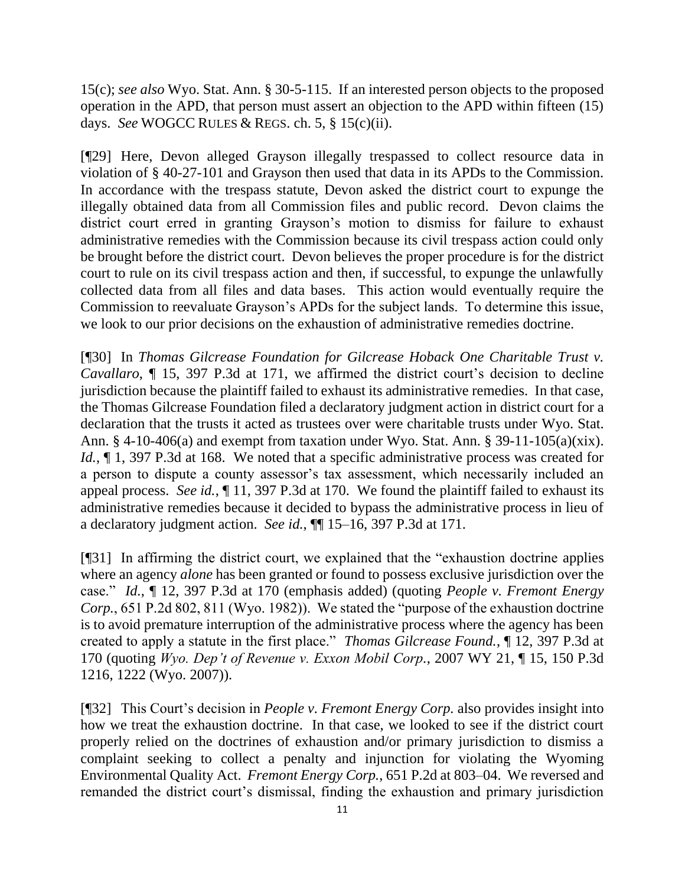15(c); *see also* Wyo. Stat. Ann. § 30-5-115. If an interested person objects to the proposed operation in the APD, that person must assert an objection to the APD within fifteen (15) days. *See* WOGCC RULES & REGS. ch. 5, § 15(c)(ii).

[¶29] Here, Devon alleged Grayson illegally trespassed to collect resource data in violation of § 40-27-101 and Grayson then used that data in its APDs to the Commission. In accordance with the trespass statute, Devon asked the district court to expunge the illegally obtained data from all Commission files and public record. Devon claims the district court erred in granting Grayson's motion to dismiss for failure to exhaust administrative remedies with the Commission because its civil trespass action could only be brought before the district court. Devon believes the proper procedure is for the district court to rule on its civil trespass action and then, if successful, to expunge the unlawfully collected data from all files and data bases. This action would eventually require the Commission to reevaluate Grayson's APDs for the subject lands. To determine this issue, we look to our prior decisions on the exhaustion of administrative remedies doctrine.

[¶30] In *Thomas Gilcrease Foundation for Gilcrease Hoback One Charitable Trust v. Cavallaro*, ¶ 15, 397 P.3d at 171, we affirmed the district court's decision to decline jurisdiction because the plaintiff failed to exhaust its administrative remedies. In that case, the Thomas Gilcrease Foundation filed a declaratory judgment action in district court for a declaration that the trusts it acted as trustees over were charitable trusts under Wyo. Stat. Ann. § 4-10-406(a) and exempt from taxation under Wyo. Stat. Ann. § 39-11-105(a)(xix). *Id.*,  $\P$  1, 397 P.3d at 168. We noted that a specific administrative process was created for a person to dispute a county assessor's tax assessment, which necessarily included an appeal process. *See id.*, ¶ 11, 397 P.3d at 170. We found the plaintiff failed to exhaust its administrative remedies because it decided to bypass the administrative process in lieu of a declaratory judgment action. *See id.*, ¶¶ 15–16, 397 P.3d at 171.

[¶31] In affirming the district court, we explained that the "exhaustion doctrine applies where an agency *alone* has been granted or found to possess exclusive jurisdiction over the case." *Id.*, ¶ 12, 397 P.3d at 170 (emphasis added) (quoting *People v. Fremont Energy Corp.*, 651 P.2d 802, 811 (Wyo. 1982)). We stated the "purpose of the exhaustion doctrine is to avoid premature interruption of the administrative process where the agency has been created to apply a statute in the first place." *Thomas Gilcrease Found.*, ¶ 12, 397 P.3d at 170 (quoting *Wyo. Dep't of Revenue v. Exxon Mobil Corp.*, 2007 WY 21, ¶ 15, 150 P.3d 1216, 1222 (Wyo. 2007)).

[¶32] This Court's decision in *People v. Fremont Energy Corp.* also provides insight into how we treat the exhaustion doctrine. In that case, we looked to see if the district court properly relied on the doctrines of exhaustion and/or primary jurisdiction to dismiss a complaint seeking to collect a penalty and injunction for violating the Wyoming Environmental Quality Act. *Fremont Energy Corp.*, 651 P.2d at 803–04. We reversed and remanded the district court's dismissal, finding the exhaustion and primary jurisdiction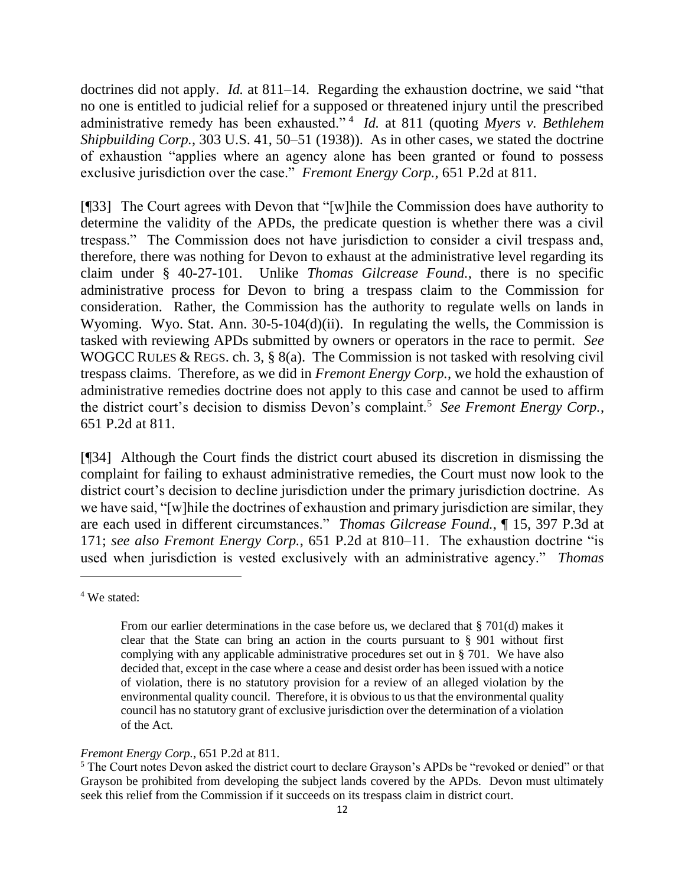doctrines did not apply. *Id.* at 811–14. Regarding the exhaustion doctrine, we said "that no one is entitled to judicial relief for a supposed or threatened injury until the prescribed administrative remedy has been exhausted." <sup>4</sup> *Id.* at 811 (quoting *Myers v. Bethlehem Shipbuilding Corp.*, 303 U.S. 41, 50–51 (1938)). As in other cases, we stated the doctrine of exhaustion "applies where an agency alone has been granted or found to possess exclusive jurisdiction over the case." *Fremont Energy Corp.*, 651 P.2d at 811.

[¶33] The Court agrees with Devon that "[w]hile the Commission does have authority to determine the validity of the APDs, the predicate question is whether there was a civil trespass." The Commission does not have jurisdiction to consider a civil trespass and, therefore, there was nothing for Devon to exhaust at the administrative level regarding its claim under § 40-27-101. Unlike *Thomas Gilcrease Found.*, there is no specific administrative process for Devon to bring a trespass claim to the Commission for consideration. Rather, the Commission has the authority to regulate wells on lands in Wyoming. Wyo. Stat. Ann. 30-5-104(d)(ii). In regulating the wells, the Commission is tasked with reviewing APDs submitted by owners or operators in the race to permit. *See*  WOGCC RULES & REGS. ch. 3, § 8(a). The Commission is not tasked with resolving civil trespass claims. Therefore, as we did in *Fremont Energy Corp.*, we hold the exhaustion of administrative remedies doctrine does not apply to this case and cannot be used to affirm the district court's decision to dismiss Devon's complaint.<sup>5</sup> See Fremont Energy Corp., 651 P.2d at 811.

[¶34] Although the Court finds the district court abused its discretion in dismissing the complaint for failing to exhaust administrative remedies, the Court must now look to the district court's decision to decline jurisdiction under the primary jurisdiction doctrine. As we have said, "[w]hile the doctrines of exhaustion and primary jurisdiction are similar, they are each used in different circumstances." *Thomas Gilcrease Found.*, ¶ 15, 397 P.3d at 171; *see also Fremont Energy Corp.*, 651 P.2d at 810–11. The exhaustion doctrine "is used when jurisdiction is vested exclusively with an administrative agency." *Thomas* 

<sup>4</sup> We stated:

From our earlier determinations in the case before us, we declared that § 701(d) makes it clear that the State can bring an action in the courts pursuant to § 901 without first complying with any applicable administrative procedures set out in § 701. We have also decided that, except in the case where a cease and desist order has been issued with a notice of violation, there is no statutory provision for a review of an alleged violation by the environmental quality council. Therefore, it is obvious to us that the environmental quality council has no statutory grant of exclusive jurisdiction over the determination of a violation of the Act.

*Fremont Energy Corp.*, 651 P.2d at 811.

<sup>&</sup>lt;sup>5</sup> The Court notes Devon asked the district court to declare Grayson's APDs be "revoked or denied" or that Grayson be prohibited from developing the subject lands covered by the APDs. Devon must ultimately seek this relief from the Commission if it succeeds on its trespass claim in district court.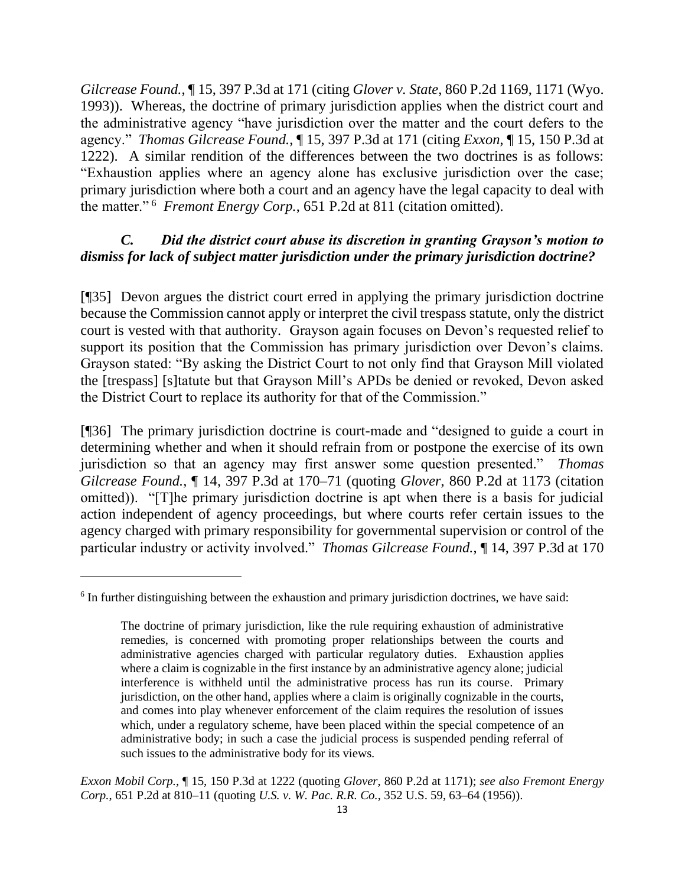*Gilcrease Found.*, ¶ 15, 397 P.3d at 171 (citing *Glover v. State*, 860 P.2d 1169, 1171 (Wyo. 1993)). Whereas, the doctrine of primary jurisdiction applies when the district court and the administrative agency "have jurisdiction over the matter and the court defers to the agency." *Thomas Gilcrease Found.*, ¶ 15, 397 P.3d at 171 (citing *Exxon*, ¶ 15, 150 P.3d at 1222). A similar rendition of the differences between the two doctrines is as follows: "Exhaustion applies where an agency alone has exclusive jurisdiction over the case; primary jurisdiction where both a court and an agency have the legal capacity to deal with the matter." <sup>6</sup> *Fremont Energy Corp.*, 651 P.2d at 811 (citation omitted).

### *C. Did the district court abuse its discretion in granting Grayson's motion to dismiss for lack of subject matter jurisdiction under the primary jurisdiction doctrine?*

[¶35] Devon argues the district court erred in applying the primary jurisdiction doctrine because the Commission cannot apply or interpret the civil trespass statute, only the district court is vested with that authority. Grayson again focuses on Devon's requested relief to support its position that the Commission has primary jurisdiction over Devon's claims. Grayson stated: "By asking the District Court to not only find that Grayson Mill violated the [trespass] [s]tatute but that Grayson Mill's APDs be denied or revoked, Devon asked the District Court to replace its authority for that of the Commission."

[¶36] The primary jurisdiction doctrine is court-made and "designed to guide a court in determining whether and when it should refrain from or postpone the exercise of its own jurisdiction so that an agency may first answer some question presented." *Thomas Gilcrease Found.*, ¶ 14, 397 P.3d at 170–71 (quoting *Glover*, 860 P.2d at 1173 (citation omitted)). "[T]he primary jurisdiction doctrine is apt when there is a basis for judicial action independent of agency proceedings, but where courts refer certain issues to the agency charged with primary responsibility for governmental supervision or control of the particular industry or activity involved." *Thomas Gilcrease Found.*, ¶ 14, 397 P.3d at 170

<sup>&</sup>lt;sup>6</sup> In further distinguishing between the exhaustion and primary jurisdiction doctrines, we have said:

The doctrine of primary jurisdiction, like the rule requiring exhaustion of administrative remedies, is concerned with promoting proper relationships between the courts and administrative agencies charged with particular regulatory duties. Exhaustion applies where a claim is cognizable in the first instance by an administrative agency alone; judicial interference is withheld until the administrative process has run its course. Primary jurisdiction, on the other hand, applies where a claim is originally cognizable in the courts, and comes into play whenever enforcement of the claim requires the resolution of issues which, under a regulatory scheme, have been placed within the special competence of an administrative body; in such a case the judicial process is suspended pending referral of such issues to the administrative body for its views.

*Exxon Mobil Corp.*, ¶ 15, 150 P.3d at 1222 (quoting *Glover*, 860 P.2d at 1171); *see also Fremont Energy Corp.*, 651 P.2d at 810–11 (quoting *U.S. v. W. Pac. R.R. Co.*, 352 U.S. 59, 63–64 (1956)).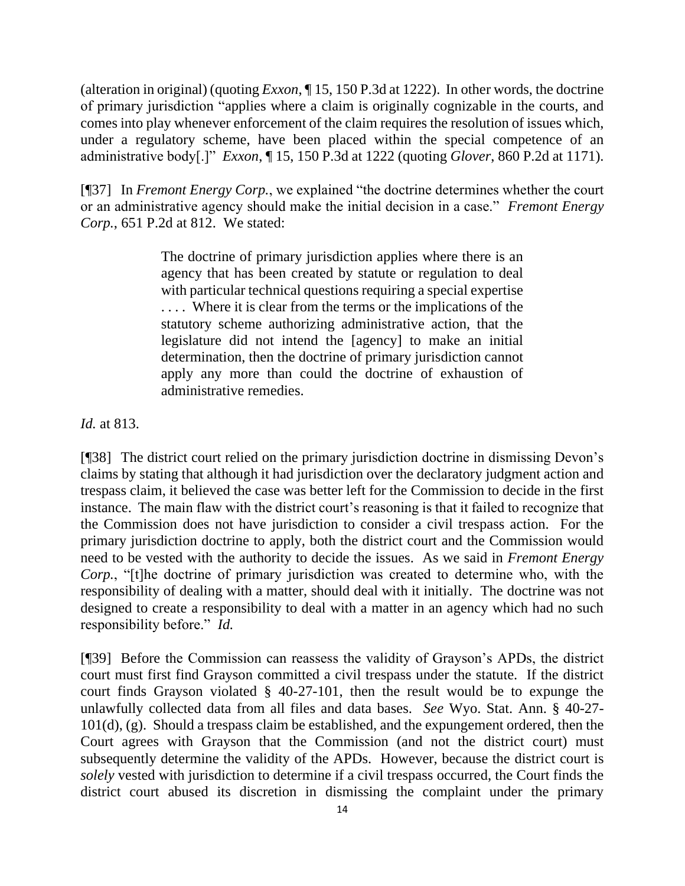(alteration in original) (quoting *Exxon*, ¶ 15, 150 P.3d at 1222). In other words, the doctrine of primary jurisdiction "applies where a claim is originally cognizable in the courts, and comes into play whenever enforcement of the claim requires the resolution of issues which, under a regulatory scheme, have been placed within the special competence of an administrative body[.]" *Exxon*, ¶ 15, 150 P.3d at 1222 (quoting *Glover*, 860 P.2d at 1171).

[¶37] In *Fremont Energy Corp.*, we explained "the doctrine determines whether the court or an administrative agency should make the initial decision in a case." *Fremont Energy Corp.*, 651 P.2d at 812. We stated:

> The doctrine of primary jurisdiction applies where there is an agency that has been created by statute or regulation to deal with particular technical questions requiring a special expertise . . . . Where it is clear from the terms or the implications of the statutory scheme authorizing administrative action, that the legislature did not intend the [agency] to make an initial determination, then the doctrine of primary jurisdiction cannot apply any more than could the doctrine of exhaustion of administrative remedies.

*Id.* at 813.

[¶38] The district court relied on the primary jurisdiction doctrine in dismissing Devon's claims by stating that although it had jurisdiction over the declaratory judgment action and trespass claim, it believed the case was better left for the Commission to decide in the first instance. The main flaw with the district court's reasoning is that it failed to recognize that the Commission does not have jurisdiction to consider a civil trespass action. For the primary jurisdiction doctrine to apply, both the district court and the Commission would need to be vested with the authority to decide the issues. As we said in *Fremont Energy Corp.*, "[t]he doctrine of primary jurisdiction was created to determine who, with the responsibility of dealing with a matter, should deal with it initially. The doctrine was not designed to create a responsibility to deal with a matter in an agency which had no such responsibility before." *Id.* 

[¶39] Before the Commission can reassess the validity of Grayson's APDs, the district court must first find Grayson committed a civil trespass under the statute. If the district court finds Grayson violated § 40-27-101, then the result would be to expunge the unlawfully collected data from all files and data bases. *See* Wyo. Stat. Ann. § 40-27- 101(d), (g). Should a trespass claim be established, and the expungement ordered, then the Court agrees with Grayson that the Commission (and not the district court) must subsequently determine the validity of the APDs. However, because the district court is *solely* vested with jurisdiction to determine if a civil trespass occurred, the Court finds the district court abused its discretion in dismissing the complaint under the primary